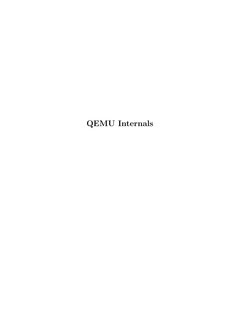QEMU Internals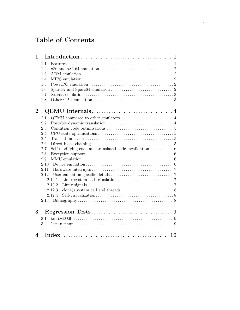# Table of Contents

| 1                        |      |                                                                                            |
|--------------------------|------|--------------------------------------------------------------------------------------------|
|                          | 1.1  |                                                                                            |
|                          | 1.2  |                                                                                            |
|                          | 1.3  |                                                                                            |
|                          | 1.4  |                                                                                            |
|                          | 1.5  |                                                                                            |
|                          | 1.6  |                                                                                            |
|                          | 1.7  |                                                                                            |
|                          | 1.8  |                                                                                            |
| $\mathbf 2$              |      |                                                                                            |
|                          | 2.1  | QEMU compared to other emulators $\dots\dots\dots\dots\dots\dots\dots\dots\dots\dots\dots$ |
|                          | 2.2  |                                                                                            |
|                          | 2.3  |                                                                                            |
|                          | 2.4  |                                                                                            |
|                          | 2.5  |                                                                                            |
|                          | 2.6  |                                                                                            |
|                          | 2.7  |                                                                                            |
|                          | 2.8  |                                                                                            |
|                          | 2.9  |                                                                                            |
|                          | 2.10 |                                                                                            |
|                          | 2.11 |                                                                                            |
|                          | 2.12 |                                                                                            |
|                          |      | 2.12.1                                                                                     |
|                          |      | 2.12.2                                                                                     |
|                          |      | 2.12.3<br>2.12.4                                                                           |
|                          |      |                                                                                            |
|                          |      |                                                                                            |
| 3                        |      |                                                                                            |
|                          | 3.1  |                                                                                            |
|                          | 3.2  |                                                                                            |
| $\overline{\mathcal{A}}$ |      |                                                                                            |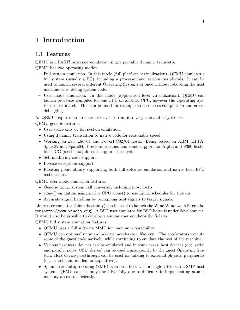## <span id="page-2-0"></span>1 Introduction

## 1.1 Features

QEMU is a FAST! processor emulator using a portable dynamic translator.

QEMU has two operating modes:

- − Full system emulation. In this mode (full platform virtualization), QEMU emulates a full system (usually a PC), including a processor and various peripherals. It can be used to launch several different Operating Systems at once without rebooting the host machine or to debug system code.
- − User mode emulation. In this mode (application level virtualization), QEMU can launch processes compiled for one CPU on another CPU, however the Operating Systems must match. This can be used for example to ease cross-compilation and crossdebugging.

As QEMU requires no host kernel driver to run, it is very safe and easy to use.

QEMU generic features:

- User space only or full system emulation.
- Using dynamic translation to native code for reasonable speed.
- Working on x86, x86.64 and PowerPC32/64 hosts. Being tested on ARM, HPPA, Sparc32 and Sparc64. Previous versions had some support for Alpha and S390 hosts, but TCG (see below) doesn't support those yet.
- Self-modifying code support.
- Precise exceptions support.
- Floating point library supporting both full software emulation and native host FPU instructions.

QEMU user mode emulation features:

- Generic Linux system call converter, including most ioctls.
- clone() emulation using native CPU clone() to use Linux scheduler for threads.
- Accurate signal handling by remapping host signals to target signals.

Linux user emulator (Linux host only) can be used to launch the Wine Windows API emulator (<http://www.winehq.org>). A BSD user emulator for BSD hosts is under development. It would also be possible to develop a similar user emulator for Solaris.

QEMU full system emulation features:

- QEMU uses a full software MMU for maximum portability.
- QEMU can optionally use an in-kernel accelerator, like kvm. The accelerators execute some of the guest code natively, while continuing to emulate the rest of the machine.
- Various hardware devices can be emulated and in some cases, host devices (e.g. serial and parallel ports, USB, drives) can be used transparently by the guest Operating System. Host device passthrough can be used for talking to external physical peripherals (e.g. a webcam, modem or tape drive).
- Symmetric multiprocessing (SMP) even on a host with a single CPU. On a SMP host system, QEMU can use only one CPU fully due to difficulty in implementing atomic memory accesses efficiently.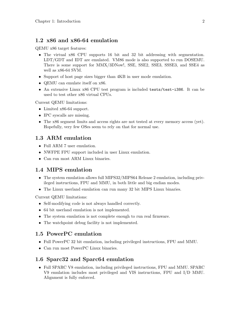#### <span id="page-3-0"></span>1.2 x86 and x86-64 emulation

QEMU x86 target features:

- The virtual x86 CPU supports 16 bit and 32 bit addressing with segmentation. LDT/GDT and IDT are emulated. VM86 mode is also supported to run DOSEMU. There is some support for MMX/3DNow!, SSE, SSE2, SSE3, SSSE3, and SSE4 as well as x86-64 SVM.
- Support of host page sizes bigger than  $4KB$  in user mode emulation.
- QEMU can emulate itself on x86.
- An extensive Linux x86 CPU test program is included tests/test-i386. It can be used to test other x86 virtual CPUs.

Current QEMU limitations:

- Limited x86-64 support.
- IPC syscalls are missing.
- The x86 segment limits and access rights are not tested at every memory access (yet). Hopefully, very few OSes seem to rely on that for normal use.

#### 1.3 ARM emulation

- Full ARM 7 user emulation.
- NWFPE FPU support included in user Linux emulation.
- Can run most ARM Linux binaries.

#### 1.4 MIPS emulation

- The system emulation allows full MIPS32/MIPS64 Release 2 emulation, including privileged instructions, FPU and MMU, in both little and big endian modes.
- The Linux userland emulation can run many 32 bit MIPS Linux binaries.

Current QEMU limitations:

- Self-modifying code is not always handled correctly.
- 64 bit userland emulation is not implemented.
- The system emulation is not complete enough to run real firmware.
- The watchpoint debug facility is not implemented.

#### 1.5 PowerPC emulation

- Full PowerPC 32 bit emulation, including privileged instructions, FPU and MMU.
- Can run most PowerPC Linux binaries.

#### 1.6 Sparc32 and Sparc64 emulation

• Full SPARC V8 emulation, including privileged instructions, FPU and MMU. SPARC V9 emulation includes most privileged and VIS instructions, FPU and I/D MMU. Alignment is fully enforced.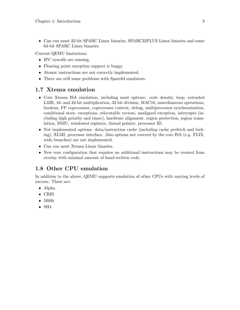<span id="page-4-0"></span>• Can run most 32-bit SPARC Linux binaries, SPARC32PLUS Linux binaries and some 64-bit SPARC Linux binaries.

Current QEMU limitations:

- IPC syscalls are missing.
- Floating point exception support is buggy.
- Atomic instructions are not correctly implemented.
- There are still some problems with Sparc64 emulators.

#### 1.7 Xtensa emulation

- Core Xtensa ISA emulation, including most options: code density, loop, extended L32R, 16- and 32-bit multiplication, 32-bit division, MAC16, miscellaneous operations, boolean, FP coprocessor, coprocessor context, debug, multiprocessor synchronization, conditional store, exceptions, relocatable vectors, unaligned exception, interrupts (including high priority and timer), hardware alignment, region protection, region translation, MMU, windowed registers, thread pointer, processor ID.
- Not implemented options: data/instruction cache (including cache prefetch and locking), XLMI, processor interface. Also options not covered by the core ISA (e.g. FLIX, wide branches) are not implemented.
- Can run most Xtensa Linux binaries.
- New core configuration that requires no additional instructions may be created from overlay with minimal amount of hand-written code.

## 1.8 Other CPU emulation

In addition to the above, QEMU supports emulation of other CPUs with varying levels of success. These are:

- Alpha
- CRIS
- M68k
- $\bullet$  SH4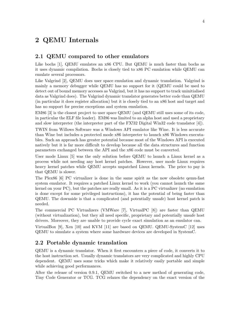## <span id="page-5-0"></span>2 QEMU Internals

#### 2.1 QEMU compared to other emulators

Like bochs [1], QEMU emulates an x86 CPU. But QEMU is much faster than bochs as it uses dynamic compilation. Bochs is closely tied to x86 PC emulation while QEMU can emulate several processors.

Like Valgrind [2], QEMU does user space emulation and dynamic translation. Valgrind is mainly a memory debugger while QEMU has no support for it (QEMU could be used to detect out of bound memory accesses as Valgrind, but it has no support to track uninitialised data as Valgrind does). The Valgrind dynamic translator generates better code than QEMU (in particular it does register allocation) but it is closely tied to an x86 host and target and has no support for precise exceptions and system emulation.

EM86 [3] is the closest project to user space QEMU (and QEMU still uses some of its code, in particular the ELF file loader). EM86 was limited to an alpha host and used a proprietary and slow interpreter (the interpreter part of the FX!32 Digital Win32 code translator [4]).

TWIN from Willows Software was a Windows API emulator like Wine. It is less accurate than Wine but includes a protected mode x86 interpreter to launch x86 Windows executables. Such an approach has greater potential because most of the Windows API is executed natively but it is far more difficult to develop because all the data structures and function parameters exchanged between the API and the x86 code must be converted.

User mode Linux [5] was the only solution before QEMU to launch a Linux kernel as a process while not needing any host kernel patches. However, user mode Linux requires heavy kernel patches while QEMU accepts unpatched Linux kernels. The price to pay is that QEMU is slower.

The Plex86 [6] PC virtualizer is done in the same spirit as the now obsolete qemu-fast system emulator. It requires a patched Linux kernel to work (you cannot launch the same kernel on your PC), but the patches are really small. As it is a PC virtualizer (no emulation is done except for some privileged instructions), it has the potential of being faster than QEMU. The downside is that a complicated (and potentially unsafe) host kernel patch is needed.

The commercial PC Virtualizers (VMWare [7], VirtualPC [8]) are faster than QEMU (without virtualization), but they all need specific, proprietary and potentially unsafe host drivers. Moreover, they are unable to provide cycle exact simulation as an emulator can.

VirtualBox [9], Xen [10] and KVM [11] are based on QEMU. QEMU-SystemC [12] uses QEMU to simulate a system where some hardware devices are developed in SystemC.

## 2.2 Portable dynamic translation

QEMU is a dynamic translator. When it first encounters a piece of code, it converts it to the host instruction set. Usually dynamic translators are very complicated and highly CPU dependent. QEMU uses some tricks which make it relatively easily portable and simple while achieving good performances.

After the release of version 0.9.1, QEMU switched to a new method of generating code, Tiny Code Generator or TCG. TCG relaxes the dependency on the exact version of the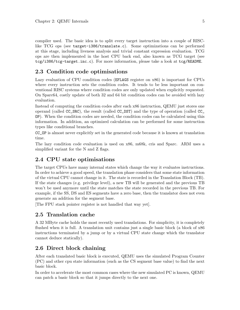<span id="page-6-0"></span>compiler used. The basic idea is to split every target instruction into a couple of RISClike TCG ops (see target-i386/translate.c). Some optimizations can be performed at this stage, including liveness analysis and trivial constant expression evaluation. TCG ops are then implemented in the host CPU back end, also known as TCG target (see tcg/i386/tcg-target.inc.c). For more information, please take a look at tcg/README.

## 2.3 Condition code optimisations

Lazy evaluation of CPU condition codes (EFLAGS register on x86) is important for CPUs where every instruction sets the condition codes. It tends to be less important on conventional RISC systems where condition codes are only updated when explicitly requested. On Sparc64, costly update of both 32 and 64 bit condition codes can be avoided with lazy evaluation.

Instead of computing the condition codes after each x86 instruction, QEMU just stores one operand (called CC\_SRC), the result (called CC\_DST) and the type of operation (called CC\_ OP). When the condition codes are needed, the condition codes can be calculated using this information. In addition, an optimized calculation can be performed for some instruction types like conditional branches.

CC\_OP is almost never explicitly set in the generated code because it is known at translation time.

The lazy condition code evaluation is used on x86, m68k, cris and Sparc. ARM uses a simplified variant for the N and Z flags.

## 2.4 CPU state optimisations

The target CPUs have many internal states which change the way it evaluates instructions. In order to achieve a good speed, the translation phase considers that some state information of the virtual CPU cannot change in it. The state is recorded in the Translation Block (TB). If the state changes (e.g. privilege level), a new TB will be generated and the previous TB won't be used anymore until the state matches the state recorded in the previous TB. For example, if the SS, DS and ES segments have a zero base, then the translator does not even generate an addition for the segment base.

[The FPU stack pointer register is not handled that way yet].

#### 2.5 Translation cache

A 32 MByte cache holds the most recently used translations. For simplicity, it is completely flushed when it is full. A translation unit contains just a single basic block (a block of x86 instructions terminated by a jump or by a virtual CPU state change which the translator cannot deduce statically).

## 2.6 Direct block chaining

After each translated basic block is executed, QEMU uses the simulated Program Counter (PC) and other cpu state information (such as the CS segment base value) to find the next basic block.

In order to accelerate the most common cases where the new simulated PC is known, QEMU can patch a basic block so that it jumps directly to the next one.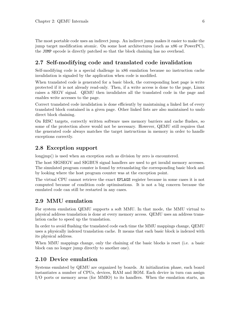<span id="page-7-0"></span>The most portable code uses an indirect jump. An indirect jump makes it easier to make the jump target modification atomic. On some host architectures (such as x86 or PowerPC), the JUMP opcode is directly patched so that the block chaining has no overhead.

## 2.7 Self-modifying code and translated code invalidation

Self-modifying code is a special challenge in x86 emulation because no instruction cache invalidation is signaled by the application when code is modified.

When translated code is generated for a basic block, the corresponding host page is write protected if it is not already read-only. Then, if a write access is done to the page, Linux raises a SEGV signal. QEMU then invalidates all the translated code in the page and enables write accesses to the page.

Correct translated code invalidation is done efficiently by maintaining a linked list of every translated block contained in a given page. Other linked lists are also maintained to undo direct block chaining.

On RISC targets, correctly written software uses memory barriers and cache flushes, so some of the protection above would not be necessary. However, QEMU still requires that the generated code always matches the target instructions in memory in order to handle exceptions correctly.

#### 2.8 Exception support

longjmp() is used when an exception such as division by zero is encountered.

The host SIGSEGV and SIGBUS signal handlers are used to get invalid memory accesses. The simulated program counter is found by retranslating the corresponding basic block and by looking where the host program counter was at the exception point.

The virtual CPU cannot retrieve the exact EFLAGS register because in some cases it is not computed because of condition code optimisations. It is not a big concern because the emulated code can still be restarted in any cases.

#### 2.9 MMU emulation

For system emulation QEMU supports a soft MMU. In that mode, the MMU virtual to physical address translation is done at every memory access. QEMU uses an address translation cache to speed up the translation.

In order to avoid flushing the translated code each time the MMU mappings change, QEMU uses a physically indexed translation cache. It means that each basic block is indexed with its physical address.

When MMU mappings change, only the chaining of the basic blocks is reset (i.e. a basic block can no longer jump directly to another one).

#### 2.10 Device emulation

Systems emulated by QEMU are organized by boards. At initialization phase, each board instantiates a number of CPUs, devices, RAM and ROM. Each device in turn can assign I/O ports or memory areas (for MMIO) to its handlers. When the emulation starts, an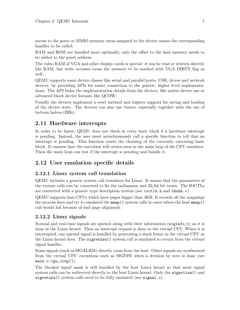<span id="page-8-0"></span>access to the ports or MMIO memory areas assigned to the device causes the corresponding handler to be called.

RAM and ROM are handled more optimally, only the offset to the host memory needs to be added to the guest address.

The video RAM of VGA and other display cards is special: it can be read or written directly like RAM, but write accesses cause the memory to be marked with VGA DIRTY flag as well.

QEMU supports some device classes like serial and parallel ports, USB, drives and network devices, by providing APIs for easier connection to the generic, higher level implementations. The API hides the implementation details from the devices, like native device use or advanced block device formats like QCOW.

Usually the devices implement a reset method and register support for saving and loading of the device state. The devices can also use timers, especially together with the use of bottom halves (BHs).

## 2.11 Hardware interrupts

In order to be faster, QEMU does not check at every basic block if a hardware interrupt is pending. Instead, the user must asynchronously call a specific function to tell that an interrupt is pending. This function resets the chaining of the currently executing basic block. It ensures that the execution will return soon in the main loop of the CPU emulator. Then the main loop can test if the interrupt is pending and handle it.

## 2.12 User emulation specific details

#### 2.12.1 Linux system call translation

QEMU includes a generic system call translator for Linux. It means that the parameters of the system calls can be converted to fix the endianness and 32/64 bit issues. The IOCTLs are converted with a generic type description system (see ioctls.h and thunk.c).

QEMU supports host CPUs which have pages bigger than 4KB. It records all the mappings the process does and try to emulated the mmap() system calls in cases where the host mmap() call would fail because of bad page alignment.

#### 2.12.2 Linux signals

Normal and real-time signals are queued along with their information (siginfo<sub>t</sub>) as it is done in the Linux kernel. Then an interrupt request is done to the virtual CPU. When it is interrupted, one queued signal is handled by generating a stack frame in the virtual CPU as the Linux kernel does. The sigreturn() system call is emulated to return from the virtual signal handler.

Some signals (such as SIGALRM) directly come from the host. Other signals are synthesized from the virtual CPU exceptions such as SIGFPE when a division by zero is done (see main.c:cpu\_loop()).

The blocked signal mask is still handled by the host Linux kernel so that most signal system calls can be redirected directly to the host Linux kernel. Only the sigaction() and sigreturn() system calls need to be fully emulated (see signal.c).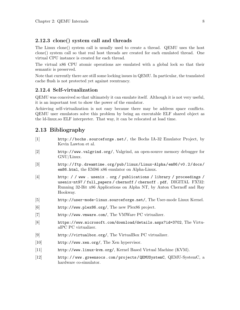#### <span id="page-9-0"></span>2.12.3 clone() system call and threads

The Linux clone() system call is usually used to create a thread. QEMU uses the host clone() system call so that real host threads are created for each emulated thread. One virtual CPU instance is created for each thread.

The virtual x86 CPU atomic operations are emulated with a global lock so that their semantic is preserved.

Note that currently there are still some locking issues in QEMU. In particular, the translated cache flush is not protected yet against reentrancy.

#### 2.12.4 Self-virtualization

QEMU was conceived so that ultimately it can emulate itself. Although it is not very useful, it is an important test to show the power of the emulator.

Achieving self-virtualization is not easy because there may be address space conflicts. QEMU user emulators solve this problem by being an executable ELF shared object as the ld-linux.so ELF interpreter. That way, it can be relocated at load time.

#### 2.13 Bibliography

- [1] <http://bochs.sourceforge.net/>, the Bochs IA-32 Emulator Project, by Kevin Lawton et al.
- [2] <http://www.valgrind.org/>, Valgrind, an open-source memory debugger for GNU/Linux.
- [3] [http://ftp.dreamtime.org/pub/linux/Linux-Alpha/em86/v0.2/docs/](http://ftp.dreamtime.org/pub/linux/Linux-Alpha/em86/v0.2/docs/em86.html) [em86.html](http://ftp.dreamtime.org/pub/linux/Linux-Alpha/em86/v0.2/docs/em86.html), the EM86 x86 emulator on Alpha-Linux.
- [4] [http: / / www . usenix . org / publications / library / proceedings /](http://www.usenix.org/publications/library/proceedings/usenix-nt97/full_papers/chernoff/chernoff.pdf) [usenix-nt97 / full\\_papers / chernoff / chernoff . pdf](http://www.usenix.org/publications/library/proceedings/usenix-nt97/full_papers/chernoff/chernoff.pdf), DIGITAL FX!32: Running 32-Bit x86 Applications on Alpha NT, by Anton Chernoff and Ray Hookway.
- [5] <http://user-mode-linux.sourceforge.net/>, The User-mode Linux Kernel.
- [6] <http://www.plex86.org/>, The new Plex86 project.
- [7] <http://www.vmware.com/>, The VMWare PC virtualizer.
- [8] <https://www.microsoft.com/download/details.aspx?id=3702>, The VirtualPC PC virtualizer.
- [9] <http://virtualbox.org/>, The VirtualBox PC virtualizer.
- [10] <http://www.xen.org/>, The Xen hypervisor.
- [11] <http://www.linux-kvm.org/>, Kernel Based Virtual Machine (KVM).
- [12] [http: / / www . greensocs . com / projects / QEMUSystemC](http://www.greensocs.com/projects/QEMUSystemC), QEMU-SystemC, a hardware co-simulator.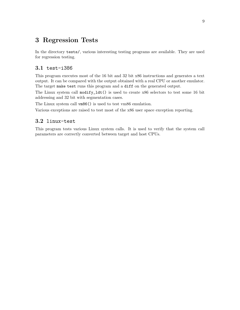## <span id="page-10-0"></span>3 Regression Tests

In the directory tests/, various interesting testing programs are available. They are used for regression testing.

## 3.1 test-i386

This program executes most of the 16 bit and 32 bit x86 instructions and generates a text output. It can be compared with the output obtained with a real CPU or another emulator. The target make test runs this program and a diff on the generated output.

The Linux system call modify\_ldt() is used to create x86 selectors to test some 16 bit addressing and 32 bit with segmentation cases.

The Linux system call  $\nu$ m86() is used to test vm86 emulation.

Various exceptions are raised to test most of the x86 user space exception reporting.

#### 3.2 linux-test

This program tests various Linux system calls. It is used to verify that the system call parameters are correctly converted between target and host CPUs.